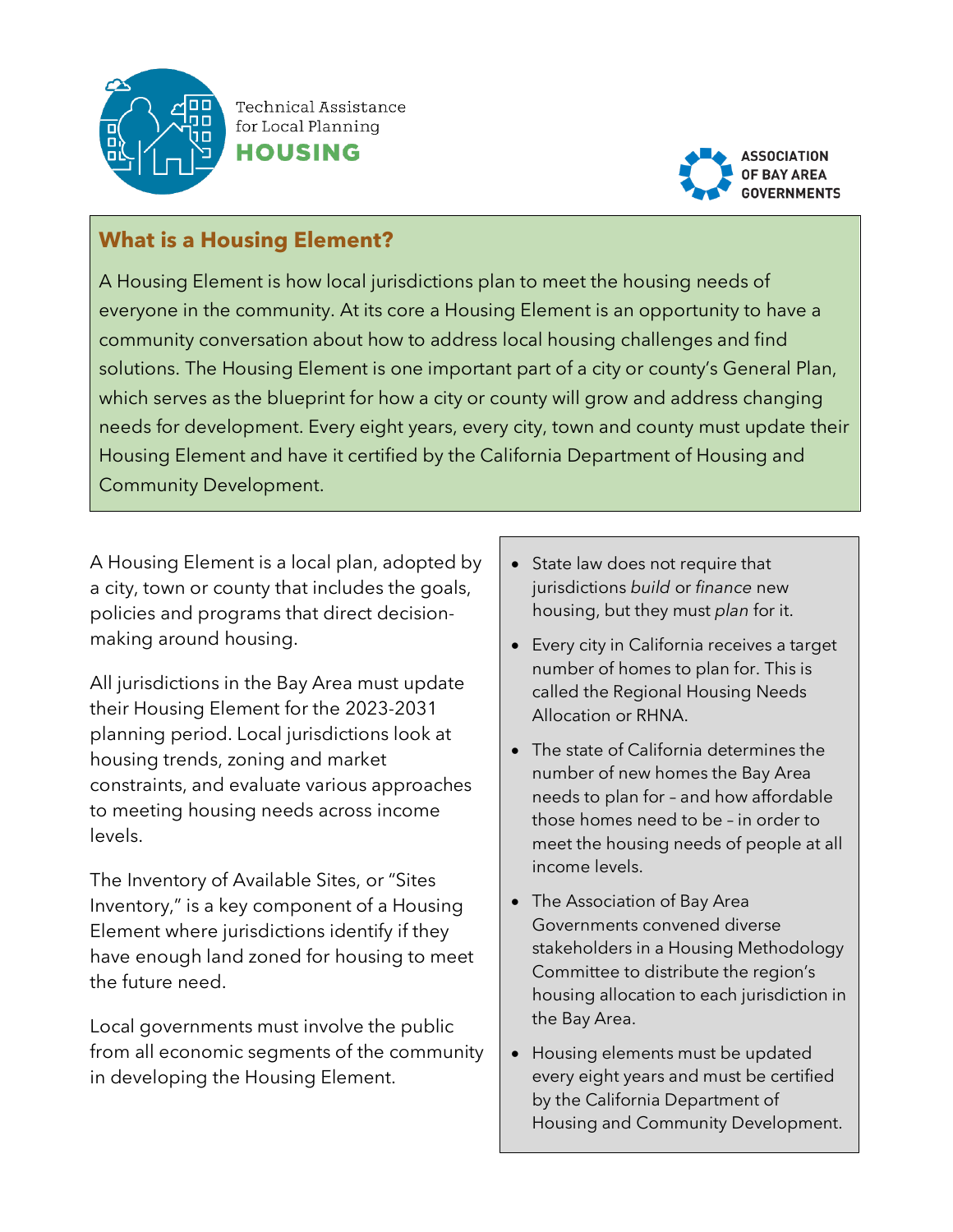

Technical Assistance for Local Planning





## **What is a Housing Element?**

A Housing Element is how local jurisdictions plan to meet the housing needs of everyone in the community. At its core a Housing Element is an opportunity to have a community conversation about how to address local housing challenges and find solutions. The Housing Element is one important part of a city or county's General Plan, which serves as the blueprint for how a city or county will grow and address changing needs for development. Every eight years, every city, town and county must update their Housing Element and have it certified by the California Department of Housing and Community Development.

A Housing Element is a local plan, adopted by a city, town or county that includes the goals, policies and programs that direct decisionmaking around housing.

All jurisdictions in the Bay Area must update their Housing Element for the 2023-2031 planning period. Local jurisdictions look at housing trends, zoning and market constraints, and evaluate various approaches to meeting housing needs across income levels.

The Inventory of Available Sites, or "Sites Inventory," is a key component of a Housing Element where jurisdictions identify if they have enough land zoned for housing to meet the future need.

Local governments must involve the public from all economic segments of the community in developing the Housing Element.

- State law does not require that jurisdictions *build* or *finance* new housing, but they must *plan* for it.
- Every city in California receives a target number of homes to plan for. This is called the Regional Housing Needs Allocation or RHNA.
- The state of California determines the number of new homes the Bay Area needs to plan for – and how affordable those homes need to be – in order to meet the housing needs of people at all income levels.
- The Association of Bay Area Governments convened diverse stakeholders in a Housing Methodology Committee to distribute the region's housing allocation to each jurisdiction in the Bay Area.
- Housing elements must be updated every eight years and must be certified by the California Department of Housing and Community Development.